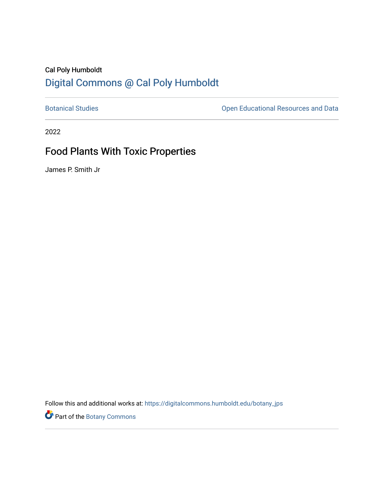## Cal Poly Humboldt [Digital Commons @ Cal Poly Humboldt](https://digitalcommons.humboldt.edu/)

[Botanical Studies](https://digitalcommons.humboldt.edu/botany_jps) **Botanical Studies Open Educational Resources and Data** 

2022

# Food Plants With Toxic Properties

James P. Smith Jr

Follow this and additional works at: [https://digitalcommons.humboldt.edu/botany\\_jps](https://digitalcommons.humboldt.edu/botany_jps?utm_source=digitalcommons.humboldt.edu%2Fbotany_jps%2F107&utm_medium=PDF&utm_campaign=PDFCoverPages) 

Part of the [Botany Commons](http://network.bepress.com/hgg/discipline/104?utm_source=digitalcommons.humboldt.edu%2Fbotany_jps%2F107&utm_medium=PDF&utm_campaign=PDFCoverPages)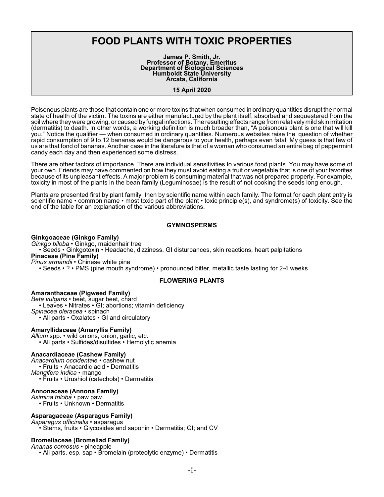## **FOOD PLANTS WITH TOXIC PROPERTIES**

**James P. Smith, Jr. Professor of Botany, Emeritus Department of Biological Sciences Humboldt State University Arcata, California**

#### **15 April 2020**

Poisonous plants are those that contain one or more toxins that when consumed in ordinary quantities disrupt the normal state of health of the victim. The toxins are either manufactured by the plant itself, absorbed and sequestered from the soil where theywere growing, or caused by fungal infections. The resulting effects range from relativelymild skin irritation (dermatitis) to death. In other words, a working definition is much broader than, "A poisonous plant is one that will kill you." Notice the qualifier — when consumed in ordinary quantities. Numerous websites raise the question of whether rapid consumption of 9 to 12 bananas would be dangerous to your health, perhaps even fatal. My guess is that few of us are that fond of bananas. Another case in the literature is that of a woman who consumed an entire bag of peppermint candy each day and then experienced some distress.

There are other factors of importance. There are individual sensitivities to various food plants. You may have some of your own. Friends may have commented on how they must avoid eating a fruit or vegetable that is one of your favorites because of its unpleasant effects. A major problem is consuming material that was not prepared properly. For example, toxicity in most of the plants in the bean family (Leguminosae) is the result of not cooking the seeds long enough.

Plants are presented first by plant family, then by scientific name within each family. The format for each plant entry is scientific name • common name • most toxic part of the plant • toxic principle(s), and syndrome(s) of toxicity. See the end of the table for an explanation of the various abbreviations.

#### **GYMNOSPERMS**

**Ginkgoaceae (Ginkgo Family)** *Ginkgo biloba* • Ginkgo, maidenhair tree • Seeds • Ginkgotoxin • Headache, dizziness, GI disturbances, skin reactions, heart palpitations **Pinaceae (Pine Family)** *Pinus armandii* • Chinese white pine • Seeds • ? • PMS (pine mouth syndrome) • pronounced bitter, metallic taste lasting for 2-4 weeks

## **FLOWERING PLANTS**

#### **Amaranthaceae (Pigweed Family)**

*Beta vulgaris* • beet, sugar beet, chard • Leaves • Nitrates • GI; abortions; vitamin deficiency *Spinacea oleracea* • spinach • All parts • Oxalates • GI and circulatory

## **Amaryllidaceae (Amaryllis Family)**

*Allium* spp. • wild onions, onion, garlic, etc. • All parts • Sulfides/disulfides • Hemolytic anemia

#### **Anacardiaceae (Cashew Family)**

*Anacardium occidentale* • cashew nut • Fruits • Anacardic acid • Dermatitis

*Mangifera indica* • mango

• Fruits • Urushiol (catechols) • Dermatitis

#### **Annonaceae (Annona Family)**

*Asimina triloba* • paw paw • Fruits • Unknown • Dermatitis

**Asparagaceae (Asparagus Family)**

*Asparagus officinalis* • asparagus

• Stems, fruits • Glycosides and saponin • Dermatitis; GI; and CV

## **Bromeliaceae (Bromeliad Family)**

*Ananas comosus* • pineapple • All parts, esp. sap • Bromelain (proteolytic enzyme) • Dermatitis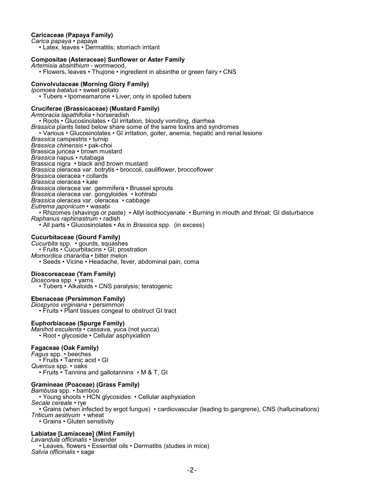## **Caricaceae (Papaya Family)**

*Carica papaya* • papaya

• Latex, leaves • Dermatitis; stomach irritant

#### **Compositae (Asteraceae) Sunflower or Aster Family**

*Artemisia absinthium* - wormwood,

• Flowers, leaves • Thujone • ingredient in absinthe or green fairy • CNS

#### **Convolvulaceae (Morning Glory Family)**

*Ipomoea batatus* • sweet potato • Tubers • Ipomeamarone • Liver; only in spoiled tubers

#### **Cruciferae (Brassicaceae) (Mustard Family)**

*Armoracia lapathifolia* • horseradish • Roots • Glucosinolates • GI irritation, bloody vomiting, diarrhea *Brassica* plants listed below share some of the same toxins and syndromes • Various • Glucosinolates • GI irritation, goiter, anemia, hepatic and renal lesions *Brassica* campestris • turnip *Brassica chinensis* • pak-choi Brassica juncea • brown mustard *Brassica* napus • rutabaga Brassica nigra • black and brown mustard *Brassica* oleracea var. botrytis • broccoli, cauliflower, broccoflower *Brassica* oleracea • collards *Brassica* oleracea • kale *Brassica* oleracea var. gemmifera • Brussel sprouts *Brassica* oleracea var. gongyloides • kohlrabi *Brassica* oleracea var. oleracea • cabbage *Eutrema japonicum* • wasabi • Rhizomes (shavings or paste) • Allyl isothiocyanate • Burning in mouth and throat; GI disturbance *Raphanus raphinastrum* • radish

• All parts • Glucosinolates • As in *Brassica* spp. (in excess)

## **Cucurbitaceae (Gourd Family)**

*Cucurbita* spp. • gourds, squashes • Fruits • Cucurbitacins • GI; prostration *Momordica charantia* • bitter melon • Seeds • Vicine • Headache, fever, abdominal pain, coma

## **Dioscoreaceae (Yam Family)**

*Dioscorea* spp. • yams

• Tubers • Alkaloids • CNS paralysis; teratogenic

#### **Ebenaceae (Persimmon Family)**

*Diospyros virginiana* • persimmon • Fruits • Plant tissues congeal to obstruct GI tract

## **Euphorbiaceae (Spurge Family)**

*Manihot esculenta* • cassava, yuca (not yucca)

• Root • glycoside • Cellular asphyxiation

## **Fagaceae (Oak Family)**

*Fagus* spp. • beeches • Fruits • Tannic acid • GI *Quercus* spp. • oaks • Fruits • Tannins and gallotannins • M & T, GI

## **Gramineae (Poaceae) (Grass Family)**

*Bambusa* spp. • bamboo • Young shoots • HCN glycosides • Cellular asphyxiation

*Secale cereale* • rye

• Grains (when infected by ergot fungus) • cardiovascular (leading to gangrene), CNS (hallucinations) *Triticum aestivum* • wheat

• Grains • Gluten sensitivity

#### **Labiatae [Lamiaceae] (Mint Family)**

*Lavandula officinalis* • lavender

• Leaves, flowers • Essential oils • Dermatitis (studies in mice) *Salvia officinalis* • sage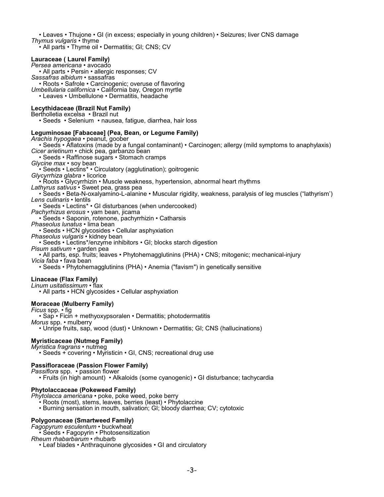• Leaves • Thujone • GI (in excess; especially in young children) • Seizures; liver CNS damage *Thymus vulgaris* • thyme

• All parts • Thyme oil • Dermatitis; GI; CNS: CV

#### **Lauraceae ( Laurel Family)**

*Persea americana* • avocado • All parts • Persin • allergic responses; CV *Sassafras albidum* • sassafras • Roots • Safrole • Carcinogenic; overuse of flavoring *Umbellularia californica* • California bay, Oregon myrtle • Leaves • Umbellulone • Dermatitis, headache

## **Lecythidaceae (Brazil Nut Family)**

#### Bertholletia excelsa • Brazil nut

• Seeds • Selenium • nausea, fatigue, diarrhea, hair loss

## **Leguminosae [Fabaceae] (Pea, Bean, or Legume Family)**

*Arachis hypogaea* • peanut, goober

• Seeds • Aflatoxins (made by a fungal contaminant) • Carcinogen; allergy (mild symptoms to anaphylaxis) *Cicer arietinum •* chick pea, garbanzo bean

• Seeds • Raffinose sugars • Stomach cramps

*Glycine max* • soy bean

• Seeds • Lectins\* • Circulatory (agglutination); goitrogenic

*Glycyrrhiza glabra* • licorice

• Roots • Glycyrrhizin • Muscle weakness, hypertension, abnormal heart rhythms

*Lathyrus sativus* • Sweet pea, grass pea

• Seeds • Beta-N-oxalyamino-L-alanine • Muscular rigidity, weakness, paralysis of leg muscles ("lathyrism') *Lens culinaris* • lentils

• Seeds • Lectins\* • GI disturbances (when undercooked)

*Pachyrhizus erosus* • yam bean, jicama

• Seeds • Saponin, rotenone, pachyrrhizin • Catharsis

*Phaseolus lunatus* • lima bean

• Seeds • HCN glycosides • Cellular asphyxiation

*Phaseolus vulgaris* • kidney bean

• Seeds • Lectins\*/enzyme inhibitors • GI; blocks starch digestion

*Pisum sativum* • garden pea • All parts, esp. fruits; leaves • Phytohemagglutinins (PHA) • CNS; mitogenic; mechanical-injury

*Vicia faba* • fava bean

• Seeds • Phytohemagglutinins (PHA) • Anemia ("favism") in genetically sensitive

## **Linaceae (Flax Family)**

*Linum usitatissimum* • flax

• All parts • HCN glycosides • Cellular asphyxiation

## **Moraceae (Mulberry Family)**

*Ficus* spp. • fig

• Sap • Ficin + methyoxypsoralen • Dermatitis; photodermatitis

*Morus* spp. • mulberry

• Unripe fruits, sap, wood (dust) • Unknown • Dermatitis; GI; CNS (hallucinations)

## **Myristicaceae (Nutmeg Family)**

*Myristica fragrans* • nutmeg

• Seeds + covering • Myristicin • GI, CNS; recreational drug use

## **Passifloraceae (Passion Flower Family)**

*Passiflora* spp. • passion flower

• Fruits (in high amount) • Alkaloids (some cyanogenic) • GI disturbance; tachycardia

## **Phytolaccaceae (Pokeweed Family)**

*Phytolacca americana* • poke, poke weed, poke berry

• Roots (most), stems, leaves, berries (least) • Phytolaccine

• Burning sensation in mouth, salivation; GI; bloody diarrhea; CV; cytotoxic

## **Polygonaceae (Smartweed Family)**

*Fagopyrum esculentum* • buckwheat • Seeds • Fagopyrin • Photosensitization *Rheum rhabarbarum* • rhubarb

• Leaf blades • Anthraquinone glycosides • GI and circulatory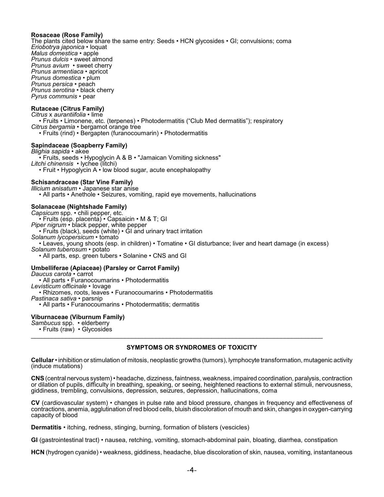#### **Rosaceae (Rose Family)**

The plants cited below share the same entry: Seeds • HCN glycosides • GI; convulsions; coma *Eriobotrya japonica* • loquat *Malus domestica* • apple *Prunus dulcis* • sweet almond *Prunus avium* • sweet cherry *Prunus armentiaca* • apricot *Prunus domestica* • plum *Prunus persica* • peach *Prunus serotina* • black cherry *Pyrus communis* • pear

## **Rutaceae (Citrus Family)**

*Citrus* x *aurantiifolia* • lime • Fruits • Limonene, etc. (terpenes) • Photodermatitis ("Club Med dermatitis"); respiratory *Citrus bergamia* • bergamot orange tree

• Fruits (rind) • Bergapten (furanocoumarin) • Photodermatitis

#### **Sapindaceae (Soapberry Family)**

*Blighia sapida* • akee • Fruits, seeds • Hypoglycin A & B • "Jamaican Vomiting sickness" *Litchi chinensis* • lychee (litchi) • Fruit • Hypoglycin A • low blood sugar, acute encephalopathy

## **Schisandraceae (Star Vine Family)**

*Illicium anisatum* • Japanese star anise • All parts • Anethole • Seizures, vomiting, rapid eye movements, hallucinations

## **Solanaceae (Nightshade Family)**

*Capsicum* spp. • chili pepper, etc. • Fruits (esp. placenta) • Capsaicin • M & T; GI *Piper nigrum* • black pepper, white pepper • Fruits (black), seeds (white) • GI and urinary tract irritation *Solanum lycopersicum* • tomato • Leaves, young shoots (esp. in children) • Tomatine • GI disturbance; liver and heart damage (in excess) *Solanum tuberosum* • potato • All parts, esp. green tubers • Solanine • CNS and GI **Umbelliferae (Apiaceae) (Parsley or Carrot Family)** *Daucus carota* • carrot

• All parts • Furanocoumarins • Photodermatitis *Levisticum officinale •* lovage • Rhizomes, roots, leaves • Furanocoumarins • Photodermatitis *Pastinaca sativa* • parsnip • All parts • Furanocoumarins • Photodermatitis; dermatitis

## **Viburnaceae (Viburnum Family)**

*Sambucus* spp. • elderberry • Fruits (raw) • Glycosides

## **SYMPTOMS OR SYNDROMES OF TOXICITY**

\_\_\_\_\_\_\_\_\_\_\_\_\_\_\_\_\_\_\_\_\_\_\_\_\_\_\_\_\_\_\_\_\_\_\_\_\_\_\_\_\_\_\_\_\_\_\_\_\_\_\_\_\_\_\_\_\_\_\_\_\_\_\_\_\_\_\_\_\_\_\_\_\_\_\_\_\_\_\_\_\_\_\_\_

**Cellular** • inhibition or stimulation of mitosis, neoplastic growths (tumors), lymphocyte transformation, mutagenic activity (induce mutations)

**CNS** (central nervous system) • headache, dizziness, faintness, weakness, impaired coordination, paralysis, contraction or dilation of pupils, difficulty in breathing, speaking, or seeing, heightened reactions to external stimuli, nervousness, giddiness, trembling, convulsions, depression, seizures, depression, hallucinations, coma

**CV** (cardiovascular system) • changes in pulse rate and blood pressure, changes in frequency and effectiveness of contractions, anemia, agglutination of red blood cells, bluish discoloration of mouth and skin, changes in oxygen-carrying capacity of blood

**Dermatitis** • itching, redness, stinging, burning, formation of blisters (vescicles)

**GI** (gastrointestinal tract) • nausea, retching, vomiting, stomach-abdominal pain, bloating, diarrhea, constipation

**HCN** (hydrogen cyanide) • weakness, giddiness, headache, blue discoloration of skin, nausea, vomiting, instantaneous